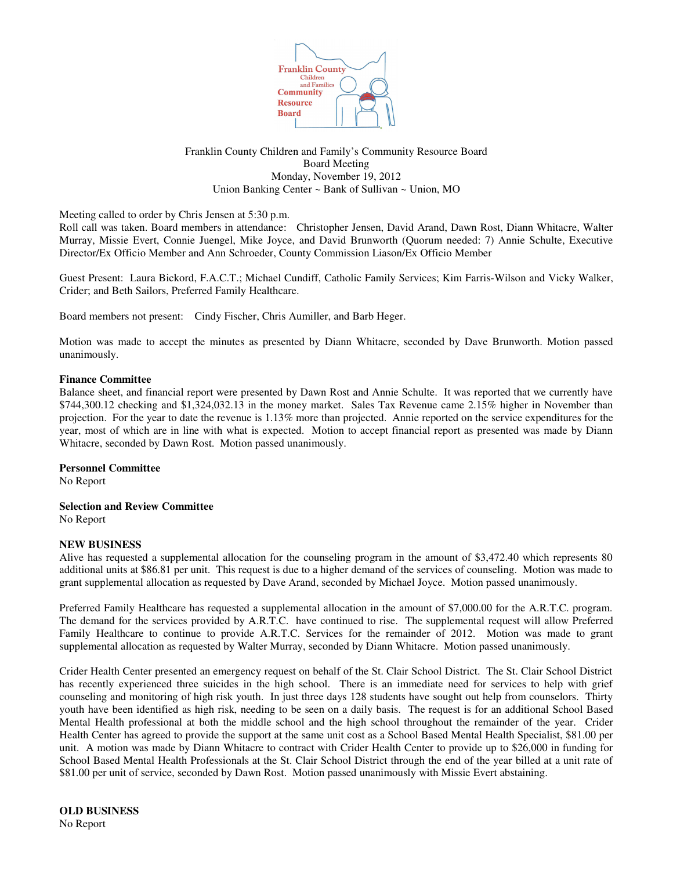

## Franklin County Children and Family's Community Resource Board Board Meeting Monday, November 19, 2012 Union Banking Center ~ Bank of Sullivan ~ Union, MO

Meeting called to order by Chris Jensen at 5:30 p.m.

Roll call was taken. Board members in attendance: Christopher Jensen, David Arand, Dawn Rost, Diann Whitacre, Walter Murray, Missie Evert, Connie Juengel, Mike Joyce, and David Brunworth (Quorum needed: 7) Annie Schulte, Executive Director/Ex Officio Member and Ann Schroeder, County Commission Liason/Ex Officio Member

Guest Present: Laura Bickord, F.A.C.T.; Michael Cundiff, Catholic Family Services; Kim Farris-Wilson and Vicky Walker, Crider; and Beth Sailors, Preferred Family Healthcare.

Board members not present: Cindy Fischer, Chris Aumiller, and Barb Heger.

Motion was made to accept the minutes as presented by Diann Whitacre, seconded by Dave Brunworth. Motion passed unanimously.

#### **Finance Committee**

Balance sheet, and financial report were presented by Dawn Rost and Annie Schulte. It was reported that we currently have \$744,300.12 checking and \$1,324,032.13 in the money market. Sales Tax Revenue came 2.15% higher in November than projection. For the year to date the revenue is 1.13% more than projected. Annie reported on the service expenditures for the year, most of which are in line with what is expected. Motion to accept financial report as presented was made by Diann Whitacre, seconded by Dawn Rost. Motion passed unanimously.

**Personnel Committee**

No Report

**Selection and Review Committee**

No Report

#### **NEW BUSINESS**

Alive has requested a supplemental allocation for the counseling program in the amount of \$3,472.40 which represents 80 additional units at \$86.81 per unit. This request is due to a higher demand of the services of counseling. Motion was made to grant supplemental allocation as requested by Dave Arand, seconded by Michael Joyce. Motion passed unanimously.

Preferred Family Healthcare has requested a supplemental allocation in the amount of \$7,000.00 for the A.R.T.C. program. The demand for the services provided by A.R.T.C. have continued to rise. The supplemental request will allow Preferred Family Healthcare to continue to provide A.R.T.C. Services for the remainder of 2012. Motion was made to grant supplemental allocation as requested by Walter Murray, seconded by Diann Whitacre. Motion passed unanimously.

Crider Health Center presented an emergency request on behalf of the St. Clair School District. The St. Clair School District has recently experienced three suicides in the high school. There is an immediate need for services to help with grief counseling and monitoring of high risk youth. In just three days 128 students have sought out help from counselors. Thirty youth have been identified as high risk, needing to be seen on a daily basis. The request is for an additional School Based Mental Health professional at both the middle school and the high school throughout the remainder of the year. Crider Health Center has agreed to provide the support at the same unit cost as a School Based Mental Health Specialist, \$81.00 per unit. A motion was made by Diann Whitacre to contract with Crider Health Center to provide up to \$26,000 in funding for School Based Mental Health Professionals at the St. Clair School District through the end of the year billed at a unit rate of \$81.00 per unit of service, seconded by Dawn Rost. Motion passed unanimously with Missie Evert abstaining.